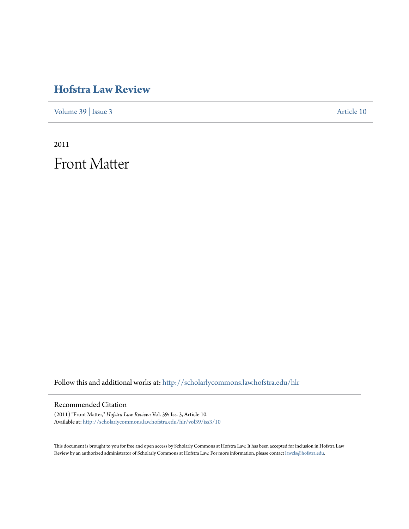## **[Hofstra Law Review](http://scholarlycommons.law.hofstra.edu/hlr?utm_source=scholarlycommons.law.hofstra.edu%2Fhlr%2Fvol39%2Fiss3%2F10&utm_medium=PDF&utm_campaign=PDFCoverPages)**

[Volume 39](http://scholarlycommons.law.hofstra.edu/hlr/vol39?utm_source=scholarlycommons.law.hofstra.edu%2Fhlr%2Fvol39%2Fiss3%2F10&utm_medium=PDF&utm_campaign=PDFCoverPages) | [Issue 3](http://scholarlycommons.law.hofstra.edu/hlr/vol39/iss3?utm_source=scholarlycommons.law.hofstra.edu%2Fhlr%2Fvol39%2Fiss3%2F10&utm_medium=PDF&utm_campaign=PDFCoverPages) [Article 10](http://scholarlycommons.law.hofstra.edu/hlr/vol39/iss3/10?utm_source=scholarlycommons.law.hofstra.edu%2Fhlr%2Fvol39%2Fiss3%2F10&utm_medium=PDF&utm_campaign=PDFCoverPages)

2011

Front Matter

Follow this and additional works at: [http://scholarlycommons.law.hofstra.edu/hlr](http://scholarlycommons.law.hofstra.edu/hlr?utm_source=scholarlycommons.law.hofstra.edu%2Fhlr%2Fvol39%2Fiss3%2F10&utm_medium=PDF&utm_campaign=PDFCoverPages)

### Recommended Citation

(2011) "Front Matter," *Hofstra Law Review*: Vol. 39: Iss. 3, Article 10. Available at: [http://scholarlycommons.law.hofstra.edu/hlr/vol39/iss3/10](http://scholarlycommons.law.hofstra.edu/hlr/vol39/iss3/10?utm_source=scholarlycommons.law.hofstra.edu%2Fhlr%2Fvol39%2Fiss3%2F10&utm_medium=PDF&utm_campaign=PDFCoverPages)

This document is brought to you for free and open access by Scholarly Commons at Hofstra Law. It has been accepted for inclusion in Hofstra Law Review by an authorized administrator of Scholarly Commons at Hofstra Law. For more information, please contact [lawcls@hofstra.edu](mailto:lawcls@hofstra.edu).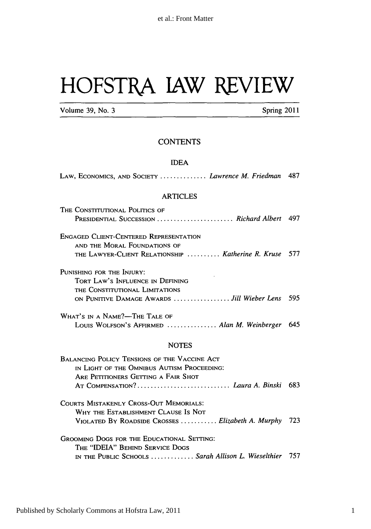# HOFSTRA IAW REVIEW

Volume 39, No. 3 **Spring 2011** 

### **CONTENTS**

#### **IDEA**

| LAW, ECONOMICS, AND SOCIETY  Lawrence M. Friedman 487                                                                                                                         |     |
|-------------------------------------------------------------------------------------------------------------------------------------------------------------------------------|-----|
| <b>ARTICLES</b>                                                                                                                                                               |     |
| THE CONSTITUTIONAL POLITICS OF<br>PRESIDENTIAL SUCCESSION  Richard Albert 497                                                                                                 |     |
| <b>ENGAGED CLIENT-CENTERED REPRESENTATION</b><br>AND THE MORAL FOUNDATIONS OF                                                                                                 |     |
| THE LAWYER-CLIENT RELATIONSHIP  Katherine R. Kruse                                                                                                                            | 577 |
| PUNISHING FOR THE INJURY:<br>TORT LAW'S INFLUENCE IN DEFINING<br>THE CONSTITUTIONAL LIMITATIONS                                                                               |     |
| ON PUNITIVE DAMAGE AWARDS  Jill Wieber Lens 595                                                                                                                               |     |
| WHAT'S IN A NAME?—THE TALE OF<br>Louis Wolfson's AFFIRMED  Alan M. Weinberger 645                                                                                             |     |
| <b>NOTES</b>                                                                                                                                                                  |     |
| <b>BALANCING POLICY TENSIONS OF THE VACCINE ACT</b><br>IN LIGHT OF THE OMNIBUS AUTISM PROCEEDING:<br>ARE PETITIONERS GETTING A FAIR SHOT<br>AT COMPENSATION?  Laura A. Binski | 683 |
| <b>COURTS MISTAKENLY CROSS-OUT MEMORIALS:</b><br>WHY THE ESTABLISHMENT CLAUSE IS NOT<br>VIOLATED BY ROADSIDE CROSSES  Elizabeth A. Murphy                                     | 723 |
| GROOMING DOGS FOR THE EDUCATIONAL SETTING:<br>THE "IDEIA" BEHIND SERVICE DOGS<br>IN THE PUBLIC SCHOOLS  Sarah Allison L. Wieselthier 757                                      |     |